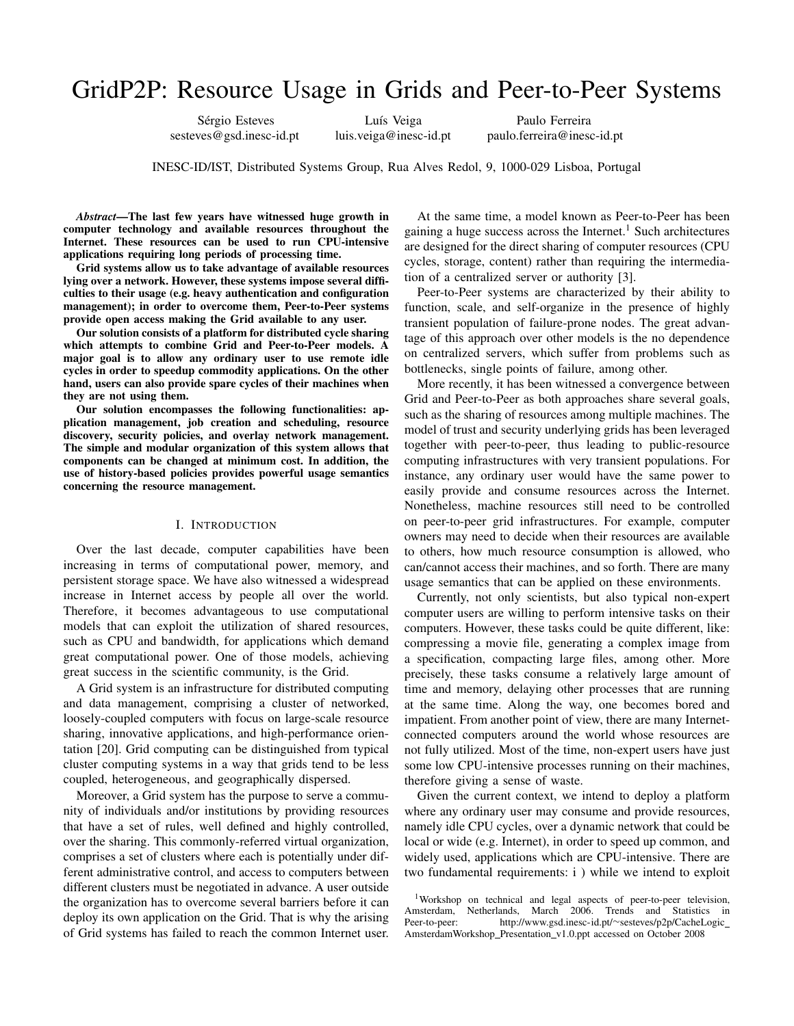# GridP2P: Resource Usage in Grids and Peer-to-Peer Systems

sesteves@gsd.inesc-id.pt luis.veiga@inesc-id.pt paulo.ferreira@inesc-id.pt

Sérgio Esteves Luís Veiga Paulo Ferreira

INESC-ID/IST, Distributed Systems Group, Rua Alves Redol, 9, 1000-029 Lisboa, Portugal

*Abstract*—The last few years have witnessed huge growth in computer technology and available resources throughout the Internet. These resources can be used to run CPU-intensive applications requiring long periods of processing time.

Grid systems allow us to take advantage of available resources lying over a network. However, these systems impose several difficulties to their usage (e.g. heavy authentication and configuration management); in order to overcome them, Peer-to-Peer systems provide open access making the Grid available to any user.

Our solution consists of a platform for distributed cycle sharing which attempts to combine Grid and Peer-to-Peer models. A major goal is to allow any ordinary user to use remote idle cycles in order to speedup commodity applications. On the other hand, users can also provide spare cycles of their machines when they are not using them.

Our solution encompasses the following functionalities: application management, job creation and scheduling, resource discovery, security policies, and overlay network management. The simple and modular organization of this system allows that components can be changed at minimum cost. In addition, the use of history-based policies provides powerful usage semantics concerning the resource management.

## I. INTRODUCTION

Over the last decade, computer capabilities have been increasing in terms of computational power, memory, and persistent storage space. We have also witnessed a widespread increase in Internet access by people all over the world. Therefore, it becomes advantageous to use computational models that can exploit the utilization of shared resources, such as CPU and bandwidth, for applications which demand great computational power. One of those models, achieving great success in the scientific community, is the Grid.

A Grid system is an infrastructure for distributed computing and data management, comprising a cluster of networked, loosely-coupled computers with focus on large-scale resource sharing, innovative applications, and high-performance orientation [20]. Grid computing can be distinguished from typical cluster computing systems in a way that grids tend to be less coupled, heterogeneous, and geographically dispersed.

Moreover, a Grid system has the purpose to serve a community of individuals and/or institutions by providing resources that have a set of rules, well defined and highly controlled, over the sharing. This commonly-referred virtual organization, comprises a set of clusters where each is potentially under different administrative control, and access to computers between different clusters must be negotiated in advance. A user outside the organization has to overcome several barriers before it can deploy its own application on the Grid. That is why the arising of Grid systems has failed to reach the common Internet user.

At the same time, a model known as Peer-to-Peer has been gaining a huge success across the Internet.<sup>1</sup> Such architectures are designed for the direct sharing of computer resources (CPU cycles, storage, content) rather than requiring the intermediation of a centralized server or authority [3].

Peer-to-Peer systems are characterized by their ability to function, scale, and self-organize in the presence of highly transient population of failure-prone nodes. The great advantage of this approach over other models is the no dependence on centralized servers, which suffer from problems such as bottlenecks, single points of failure, among other.

More recently, it has been witnessed a convergence between Grid and Peer-to-Peer as both approaches share several goals, such as the sharing of resources among multiple machines. The model of trust and security underlying grids has been leveraged together with peer-to-peer, thus leading to public-resource computing infrastructures with very transient populations. For instance, any ordinary user would have the same power to easily provide and consume resources across the Internet. Nonetheless, machine resources still need to be controlled on peer-to-peer grid infrastructures. For example, computer owners may need to decide when their resources are available to others, how much resource consumption is allowed, who can/cannot access their machines, and so forth. There are many usage semantics that can be applied on these environments.

Currently, not only scientists, but also typical non-expert computer users are willing to perform intensive tasks on their computers. However, these tasks could be quite different, like: compressing a movie file, generating a complex image from a specification, compacting large files, among other. More precisely, these tasks consume a relatively large amount of time and memory, delaying other processes that are running at the same time. Along the way, one becomes bored and impatient. From another point of view, there are many Internetconnected computers around the world whose resources are not fully utilized. Most of the time, non-expert users have just some low CPU-intensive processes running on their machines, therefore giving a sense of waste.

Given the current context, we intend to deploy a platform where any ordinary user may consume and provide resources, namely idle CPU cycles, over a dynamic network that could be local or wide (e.g. Internet), in order to speed up common, and widely used, applications which are CPU-intensive. There are two fundamental requirements: i ) while we intend to exploit

<sup>&</sup>lt;sup>1</sup>Workshop on technical and legal aspects of peer-to-peer television, Amsterdam, Netherlands, March 2006. Trends and Statistics in Peer-to-peer: http://www.gsd.inesc-id.pt/∼sesteves/p2p/CacheLogic AmsterdamWorkshop\_Presentation\_v1.0.ppt accessed on October 2008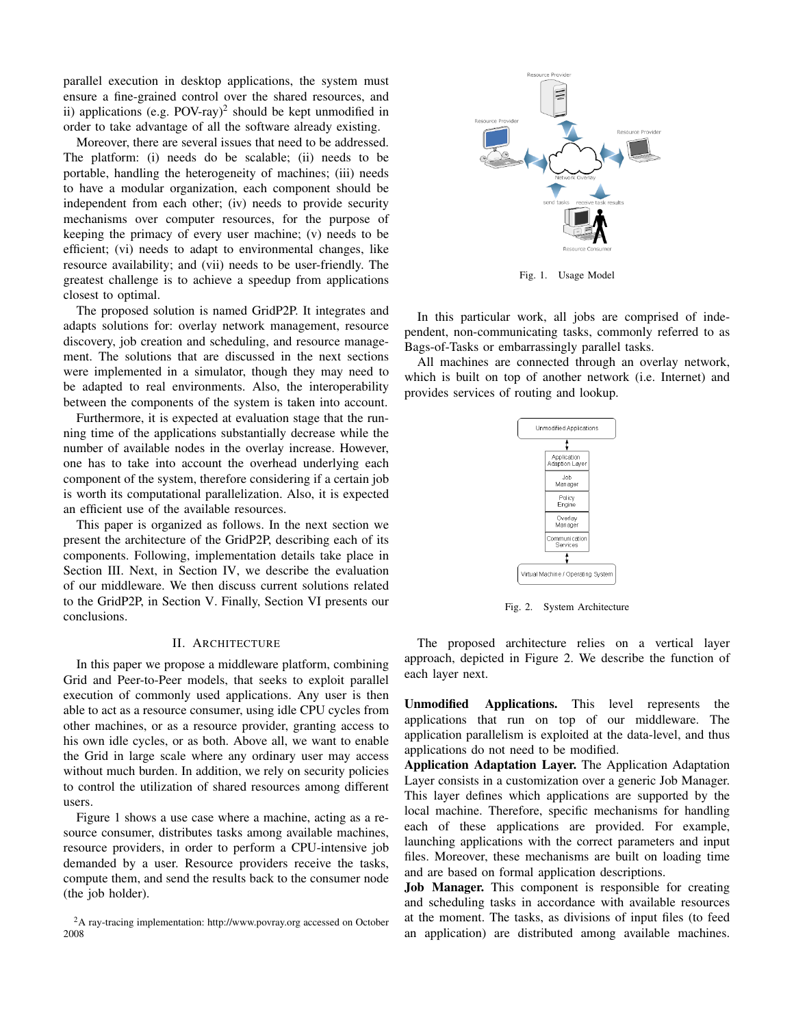parallel execution in desktop applications, the system must ensure a fine-grained control over the shared resources, and ii) applications (e.g. POV-ray)<sup>2</sup> should be kept unmodified in order to take advantage of all the software already existing.

Moreover, there are several issues that need to be addressed. The platform: (i) needs do be scalable; (ii) needs to be portable, handling the heterogeneity of machines; (iii) needs to have a modular organization, each component should be independent from each other; (iv) needs to provide security mechanisms over computer resources, for the purpose of keeping the primacy of every user machine; (v) needs to be efficient; (vi) needs to adapt to environmental changes, like resource availability; and (vii) needs to be user-friendly. The greatest challenge is to achieve a speedup from applications closest to optimal.

The proposed solution is named GridP2P. It integrates and adapts solutions for: overlay network management, resource discovery, job creation and scheduling, and resource management. The solutions that are discussed in the next sections were implemented in a simulator, though they may need to be adapted to real environments. Also, the interoperability between the components of the system is taken into account.

Furthermore, it is expected at evaluation stage that the running time of the applications substantially decrease while the number of available nodes in the overlay increase. However, one has to take into account the overhead underlying each component of the system, therefore considering if a certain job is worth its computational parallelization. Also, it is expected an efficient use of the available resources.

This paper is organized as follows. In the next section we present the architecture of the GridP2P, describing each of its components. Following, implementation details take place in Section III. Next, in Section IV, we describe the evaluation of our middleware. We then discuss current solutions related to the GridP2P, in Section V. Finally, Section VI presents our conclusions.

# II. ARCHITECTURE

In this paper we propose a middleware platform, combining Grid and Peer-to-Peer models, that seeks to exploit parallel execution of commonly used applications. Any user is then able to act as a resource consumer, using idle CPU cycles from other machines, or as a resource provider, granting access to his own idle cycles, or as both. Above all, we want to enable the Grid in large scale where any ordinary user may access without much burden. In addition, we rely on security policies to control the utilization of shared resources among different users.

Figure 1 shows a use case where a machine, acting as a resource consumer, distributes tasks among available machines, resource providers, in order to perform a CPU-intensive job demanded by a user. Resource providers receive the tasks, compute them, and send the results back to the consumer node (the job holder).



Fig. 1. Usage Model

In this particular work, all jobs are comprised of independent, non-communicating tasks, commonly referred to as Bags-of-Tasks or embarrassingly parallel tasks.

All machines are connected through an overlay network, which is built on top of another network (i.e. Internet) and provides services of routing and lookup.



Fig. 2. System Architecture

The proposed architecture relies on a vertical layer approach, depicted in Figure 2. We describe the function of each layer next.

Unmodified Applications. This level represents the applications that run on top of our middleware. The application parallelism is exploited at the data-level, and thus applications do not need to be modified.

Application Adaptation Layer. The Application Adaptation Layer consists in a customization over a generic Job Manager. This layer defines which applications are supported by the local machine. Therefore, specific mechanisms for handling each of these applications are provided. For example, launching applications with the correct parameters and input files. Moreover, these mechanisms are built on loading time and are based on formal application descriptions.

Job Manager. This component is responsible for creating and scheduling tasks in accordance with available resources at the moment. The tasks, as divisions of input files (to feed an application) are distributed among available machines.

<sup>&</sup>lt;sup>2</sup>A ray-tracing implementation: http://www.povray.org accessed on October 2008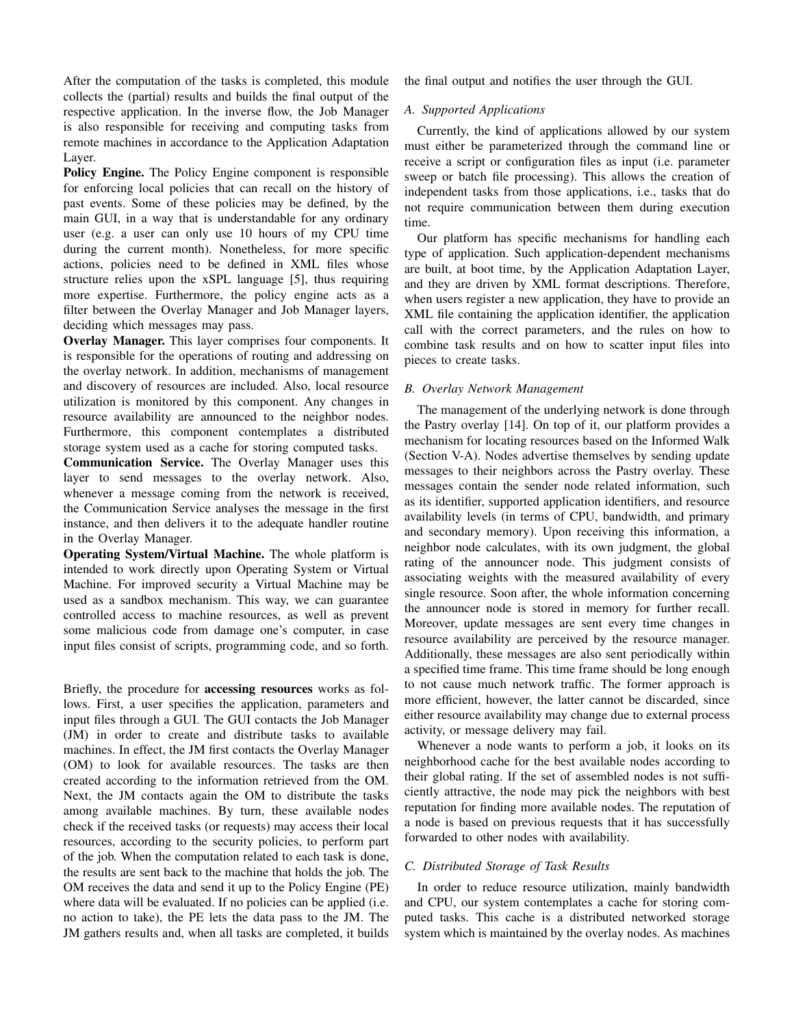After the computation of the tasks is completed, this module collects the (partial) results and builds the final output of the respective application. In the inverse flow, the Job Manager is also responsible for receiving and computing tasks from remote machines in accordance to the Application Adaptation Layer.

Policy Engine. The Policy Engine component is responsible for enforcing local policies that can recall on the history of past events. Some of these policies may be defined, by the main GUI, in a way that is understandable for any ordinary user (e.g. a user can only use 10 hours of my CPU time during the current month). Nonetheless, for more specific actions, policies need to be defined in XML files whose structure relies upon the xSPL language [5], thus requiring more expertise. Furthermore, the policy engine acts as a filter between the Overlay Manager and Job Manager layers, deciding which messages may pass.

Overlay Manager. This layer comprises four components. It is responsible for the operations of routing and addressing on the overlay network. In addition, mechanisms of management and discovery of resources are included. Also, local resource utilization is monitored by this component. Any changes in resource availability are announced to the neighbor nodes. Furthermore, this component contemplates a distributed storage system used as a cache for storing computed tasks.

Communication Service. The Overlay Manager uses this layer to send messages to the overlay network. Also, whenever a message coming from the network is received, the Communication Service analyses the message in the first instance, and then delivers it to the adequate handler routine in the Overlay Manager.

Operating System/Virtual Machine. The whole platform is intended to work directly upon Operating System or Virtual Machine. For improved security a Virtual Machine may be used as a sandbox mechanism. This way, we can guarantee controlled access to machine resources, as well as prevent some malicious code from damage one's computer, in case input files consist of scripts, programming code, and so forth.

Briefly, the procedure for accessing resources works as follows. First, a user specifies the application, parameters and input files through a GUI. The GUI contacts the Job Manager (JM) in order to create and distribute tasks to available machines. In effect, the JM first contacts the Overlay Manager (OM) to look for available resources. The tasks are then created according to the information retrieved from the OM. Next, the JM contacts again the OM to distribute the tasks among available machines. By turn, these available nodes check if the received tasks (or requests) may access their local resources, according to the security policies, to perform part of the job. When the computation related to each task is done, the results are sent back to the machine that holds the job. The OM receives the data and send it up to the Policy Engine (PE) where data will be evaluated. If no policies can be applied (i.e. no action to take), the PE lets the data pass to the JM. The JM gathers results and, when all tasks are completed, it builds

the final output and notifies the user through the GUI.

# *A. Supported Applications*

Currently, the kind of applications allowed by our system must either be parameterized through the command line or receive a script or configuration files as input (i.e. parameter sweep or batch file processing). This allows the creation of independent tasks from those applications, i.e., tasks that do not require communication between them during execution time.

Our platform has specific mechanisms for handling each type of application. Such application-dependent mechanisms are built, at boot time, by the Application Adaptation Layer, and they are driven by XML format descriptions. Therefore, when users register a new application, they have to provide an XML file containing the application identifier, the application call with the correct parameters, and the rules on how to combine task results and on how to scatter input files into pieces to create tasks.

# *B. Overlay Network Management*

The management of the underlying network is done through the Pastry overlay [14]. On top of it, our platform provides a mechanism for locating resources based on the Informed Walk (Section V-A). Nodes advertise themselves by sending update messages to their neighbors across the Pastry overlay. These messages contain the sender node related information, such as its identifier, supported application identifiers, and resource availability levels (in terms of CPU, bandwidth, and primary and secondary memory). Upon receiving this information, a neighbor node calculates, with its own judgment, the global rating of the announcer node. This judgment consists of associating weights with the measured availability of every single resource. Soon after, the whole information concerning the announcer node is stored in memory for further recall. Moreover, update messages are sent every time changes in resource availability are perceived by the resource manager. Additionally, these messages are also sent periodically within a specified time frame. This time frame should be long enough to not cause much network traffic. The former approach is more efficient, however, the latter cannot be discarded, since either resource availability may change due to external process activity, or message delivery may fail.

Whenever a node wants to perform a job, it looks on its neighborhood cache for the best available nodes according to their global rating. If the set of assembled nodes is not sufficiently attractive, the node may pick the neighbors with best reputation for finding more available nodes. The reputation of a node is based on previous requests that it has successfully forwarded to other nodes with availability.

# *C. Distributed Storage of Task Results*

In order to reduce resource utilization, mainly bandwidth and CPU, our system contemplates a cache for storing computed tasks. This cache is a distributed networked storage system which is maintained by the overlay nodes. As machines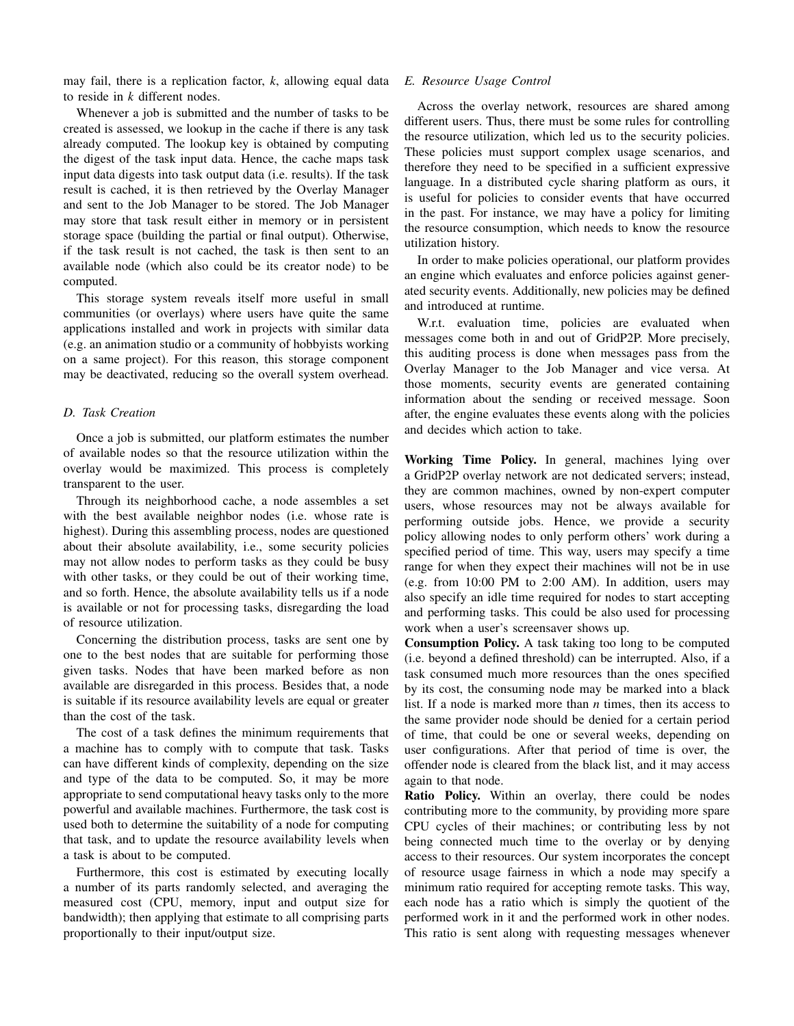may fail, there is a replication factor, *k*, allowing equal data to reside in *k* different nodes.

Whenever a job is submitted and the number of tasks to be created is assessed, we lookup in the cache if there is any task already computed. The lookup key is obtained by computing the digest of the task input data. Hence, the cache maps task input data digests into task output data (i.e. results). If the task result is cached, it is then retrieved by the Overlay Manager and sent to the Job Manager to be stored. The Job Manager may store that task result either in memory or in persistent storage space (building the partial or final output). Otherwise, if the task result is not cached, the task is then sent to an available node (which also could be its creator node) to be computed.

This storage system reveals itself more useful in small communities (or overlays) where users have quite the same applications installed and work in projects with similar data (e.g. an animation studio or a community of hobbyists working on a same project). For this reason, this storage component may be deactivated, reducing so the overall system overhead.

# *D. Task Creation*

Once a job is submitted, our platform estimates the number of available nodes so that the resource utilization within the overlay would be maximized. This process is completely transparent to the user.

Through its neighborhood cache, a node assembles a set with the best available neighbor nodes (i.e. whose rate is highest). During this assembling process, nodes are questioned about their absolute availability, i.e., some security policies may not allow nodes to perform tasks as they could be busy with other tasks, or they could be out of their working time, and so forth. Hence, the absolute availability tells us if a node is available or not for processing tasks, disregarding the load of resource utilization.

Concerning the distribution process, tasks are sent one by one to the best nodes that are suitable for performing those given tasks. Nodes that have been marked before as non available are disregarded in this process. Besides that, a node is suitable if its resource availability levels are equal or greater than the cost of the task.

The cost of a task defines the minimum requirements that a machine has to comply with to compute that task. Tasks can have different kinds of complexity, depending on the size and type of the data to be computed. So, it may be more appropriate to send computational heavy tasks only to the more powerful and available machines. Furthermore, the task cost is used both to determine the suitability of a node for computing that task, and to update the resource availability levels when a task is about to be computed.

Furthermore, this cost is estimated by executing locally a number of its parts randomly selected, and averaging the measured cost (CPU, memory, input and output size for bandwidth); then applying that estimate to all comprising parts proportionally to their input/output size.

## *E. Resource Usage Control*

Across the overlay network, resources are shared among different users. Thus, there must be some rules for controlling the resource utilization, which led us to the security policies. These policies must support complex usage scenarios, and therefore they need to be specified in a sufficient expressive language. In a distributed cycle sharing platform as ours, it is useful for policies to consider events that have occurred in the past. For instance, we may have a policy for limiting the resource consumption, which needs to know the resource utilization history.

In order to make policies operational, our platform provides an engine which evaluates and enforce policies against generated security events. Additionally, new policies may be defined and introduced at runtime.

W.r.t. evaluation time, policies are evaluated when messages come both in and out of GridP2P. More precisely, this auditing process is done when messages pass from the Overlay Manager to the Job Manager and vice versa. At those moments, security events are generated containing information about the sending or received message. Soon after, the engine evaluates these events along with the policies and decides which action to take.

Working Time Policy. In general, machines lying over a GridP2P overlay network are not dedicated servers; instead, they are common machines, owned by non-expert computer users, whose resources may not be always available for performing outside jobs. Hence, we provide a security policy allowing nodes to only perform others' work during a specified period of time. This way, users may specify a time range for when they expect their machines will not be in use (e.g. from 10:00 PM to 2:00 AM). In addition, users may also specify an idle time required for nodes to start accepting and performing tasks. This could be also used for processing work when a user's screensaver shows up.

Consumption Policy. A task taking too long to be computed (i.e. beyond a defined threshold) can be interrupted. Also, if a task consumed much more resources than the ones specified by its cost, the consuming node may be marked into a black list. If a node is marked more than *n* times, then its access to the same provider node should be denied for a certain period of time, that could be one or several weeks, depending on user configurations. After that period of time is over, the offender node is cleared from the black list, and it may access again to that node.

Ratio Policy. Within an overlay, there could be nodes contributing more to the community, by providing more spare CPU cycles of their machines; or contributing less by not being connected much time to the overlay or by denying access to their resources. Our system incorporates the concept of resource usage fairness in which a node may specify a minimum ratio required for accepting remote tasks. This way, each node has a ratio which is simply the quotient of the performed work in it and the performed work in other nodes. This ratio is sent along with requesting messages whenever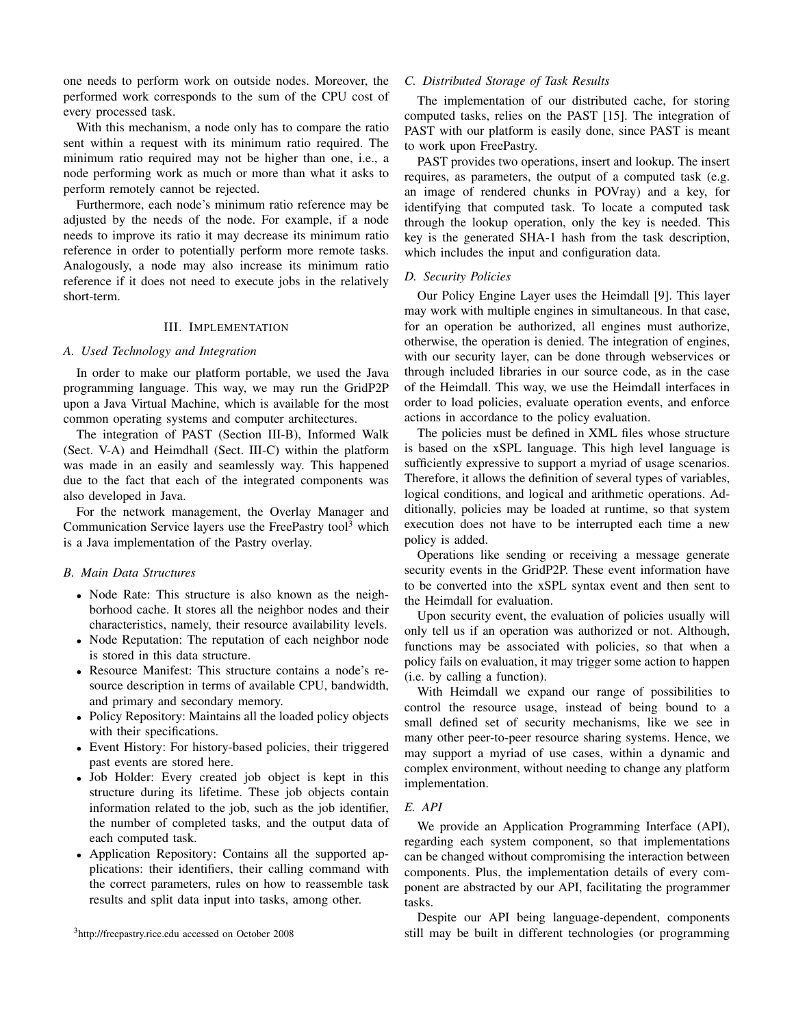one needs to perform work on outside nodes. Moreover, the performed work corresponds to the sum of the CPU cost of every processed task.

With this mechanism, a node only has to compare the ratio sent within a request with its minimum ratio required. The minimum ratio required may not be higher than one, i.e., a node performing work as much or more than what it asks to perform remotely cannot be rejected.

Furthermore, each node's minimum ratio reference may be adjusted by the needs of the node. For example, if a node needs to improve its ratio it may decrease its minimum ratio reference in order to potentially perform more remote tasks. Analogously, a node may also increase its minimum ratio reference if it does not need to execute jobs in the relatively short-term.

# III. IMPLEMENTATION

# *A. Used Technology and Integration*

In order to make our platform portable, we used the Java programming language. This way, we may run the GridP2P upon a Java Virtual Machine, which is available for the most common operating systems and computer architectures.

The integration of PAST (Section III-B), Informed Walk (Sect. V-A) and Heimdhall (Sect. III-C) within the platform was made in an easily and seamlessly way. This happened due to the fact that each of the integrated components was also developed in Java.

For the network management, the Overlay Manager and Communication Service layers use the FreePastry tool<sup>3</sup> which is a Java implementation of the Pastry overlay.

### *B. Main Data Structures*

- Node Rate: This structure is also known as the neighborhood cache. It stores all the neighbor nodes and their characteristics, namely, their resource availability levels.
- Node Reputation: The reputation of each neighbor node is stored in this data structure.
- Resource Manifest: This structure contains a node's resource description in terms of available CPU, bandwidth, and primary and secondary memory.
- Policy Repository: Maintains all the loaded policy objects with their specifications.
- Event History: For history-based policies, their triggered past events are stored here.
- Job Holder: Every created job object is kept in this structure during its lifetime. These job objects contain information related to the job, such as the job identifier, the number of completed tasks, and the output data of each computed task.
- Application Repository: Contains all the supported applications: their identifiers, their calling command with the correct parameters, rules on how to reassemble task results and split data input into tasks, among other.

## *C. Distributed Storage of Task Results*

The implementation of our distributed cache, for storing computed tasks, relies on the PAST [15]. The integration of PAST with our platform is easily done, since PAST is meant to work upon FreePastry.

PAST provides two operations, insert and lookup. The insert requires, as parameters, the output of a computed task (e.g. an image of rendered chunks in POVray) and a key, for identifying that computed task. To locate a computed task through the lookup operation, only the key is needed. This key is the generated SHA-1 hash from the task description, which includes the input and configuration data.

# *D. Security Policies*

Our Policy Engine Layer uses the Heimdall [9]. This layer may work with multiple engines in simultaneous. In that case, for an operation be authorized, all engines must authorize, otherwise, the operation is denied. The integration of engines, with our security layer, can be done through webservices or through included libraries in our source code, as in the case of the Heimdall. This way, we use the Heimdall interfaces in order to load policies, evaluate operation events, and enforce actions in accordance to the policy evaluation.

The policies must be defined in XML files whose structure is based on the xSPL language. This high level language is sufficiently expressive to support a myriad of usage scenarios. Therefore, it allows the definition of several types of variables, logical conditions, and logical and arithmetic operations. Additionally, policies may be loaded at runtime, so that system execution does not have to be interrupted each time a new policy is added.

Operations like sending or receiving a message generate security events in the GridP2P. These event information have to be converted into the xSPL syntax event and then sent to the Heimdall for evaluation.

Upon security event, the evaluation of policies usually will only tell us if an operation was authorized or not. Although, functions may be associated with policies, so that when a policy fails on evaluation, it may trigger some action to happen (i.e. by calling a function).

With Heimdall we expand our range of possibilities to control the resource usage, instead of being bound to a small defined set of security mechanisms, like we see in many other peer-to-peer resource sharing systems. Hence, we may support a myriad of use cases, within a dynamic and complex environment, without needing to change any platform implementation.

# *E. API*

We provide an Application Programming Interface (API), regarding each system component, so that implementations can be changed without compromising the interaction between components. Plus, the implementation details of every component are abstracted by our API, facilitating the programmer tasks.

Despite our API being language-dependent, components still may be built in different technologies (or programming

<sup>3</sup>http://freepastry.rice.edu accessed on October 2008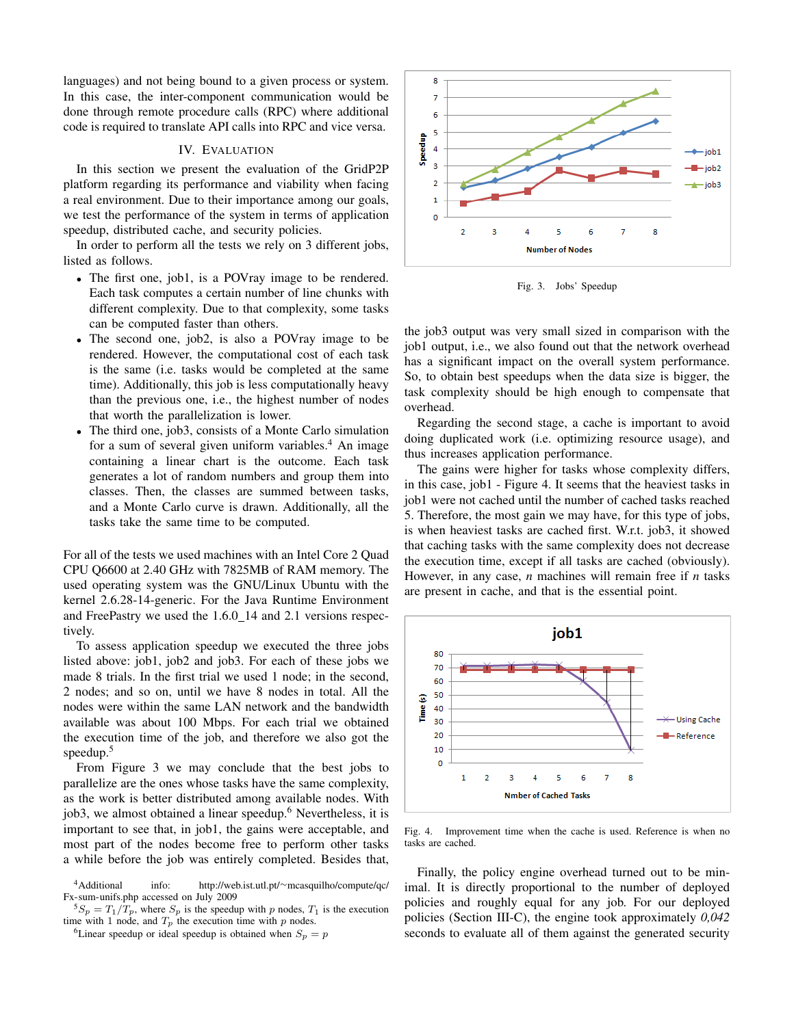languages) and not being bound to a given process or system. In this case, the inter-component communication would be done through remote procedure calls (RPC) where additional code is required to translate API calls into RPC and vice versa.

# IV. EVALUATION

In this section we present the evaluation of the GridP2P platform regarding its performance and viability when facing a real environment. Due to their importance among our goals, we test the performance of the system in terms of application speedup, distributed cache, and security policies.

In order to perform all the tests we rely on 3 different jobs, listed as follows.

- The first one, job1, is a POVray image to be rendered. Each task computes a certain number of line chunks with different complexity. Due to that complexity, some tasks can be computed faster than others.
- The second one, job2, is also a POVray image to be rendered. However, the computational cost of each task is the same (i.e. tasks would be completed at the same time). Additionally, this job is less computationally heavy than the previous one, i.e., the highest number of nodes that worth the parallelization is lower.
- The third one, job3, consists of a Monte Carlo simulation for a sum of several given uniform variables.<sup>4</sup> An image containing a linear chart is the outcome. Each task generates a lot of random numbers and group them into classes. Then, the classes are summed between tasks, and a Monte Carlo curve is drawn. Additionally, all the tasks take the same time to be computed.

For all of the tests we used machines with an Intel Core 2 Quad CPU Q6600 at 2.40 GHz with 7825MB of RAM memory. The used operating system was the GNU/Linux Ubuntu with the kernel 2.6.28-14-generic. For the Java Runtime Environment and FreePastry we used the 1.6.0 14 and 2.1 versions respectively.

To assess application speedup we executed the three jobs listed above: job1, job2 and job3. For each of these jobs we made 8 trials. In the first trial we used 1 node; in the second, 2 nodes; and so on, until we have 8 nodes in total. All the nodes were within the same LAN network and the bandwidth available was about 100 Mbps. For each trial we obtained the execution time of the job, and therefore we also got the speedup. $5$ 

From Figure 3 we may conclude that the best jobs to parallelize are the ones whose tasks have the same complexity, as the work is better distributed among available nodes. With job3, we almost obtained a linear speedup.<sup>6</sup> Nevertheless, it is important to see that, in job1, the gains were acceptable, and most part of the nodes become free to perform other tasks a while before the job was entirely completed. Besides that,



Fig. 3. Jobs' Speedup

the job3 output was very small sized in comparison with the job1 output, i.e., we also found out that the network overhead has a significant impact on the overall system performance. So, to obtain best speedups when the data size is bigger, the task complexity should be high enough to compensate that overhead.

Regarding the second stage, a cache is important to avoid doing duplicated work (i.e. optimizing resource usage), and thus increases application performance.

The gains were higher for tasks whose complexity differs, in this case, job1 - Figure 4. It seems that the heaviest tasks in job1 were not cached until the number of cached tasks reached 5. Therefore, the most gain we may have, for this type of jobs, is when heaviest tasks are cached first. W.r.t. job3, it showed that caching tasks with the same complexity does not decrease the execution time, except if all tasks are cached (obviously). However, in any case, *n* machines will remain free if *n* tasks are present in cache, and that is the essential point.



Fig. 4. Improvement time when the cache is used. Reference is when no tasks are cached.

Finally, the policy engine overhead turned out to be minimal. It is directly proportional to the number of deployed policies and roughly equal for any job. For our deployed policies (Section III-C), the engine took approximately *0,042* seconds to evaluate all of them against the generated security

<sup>4</sup>Additional info: http://web.ist.utl.pt/∼mcasquilho/compute/qc/ Fx-sum-unifs.php accessed on July 2009

 $5S_p = T_1/T_p$ , where  $S_p$  is the speedup with p nodes,  $T_1$  is the execution time with 1 node, and  $T_p$  the execution time with p nodes.

<sup>&</sup>lt;sup>6</sup>Linear speedup or ideal speedup is obtained when  $S_p = p$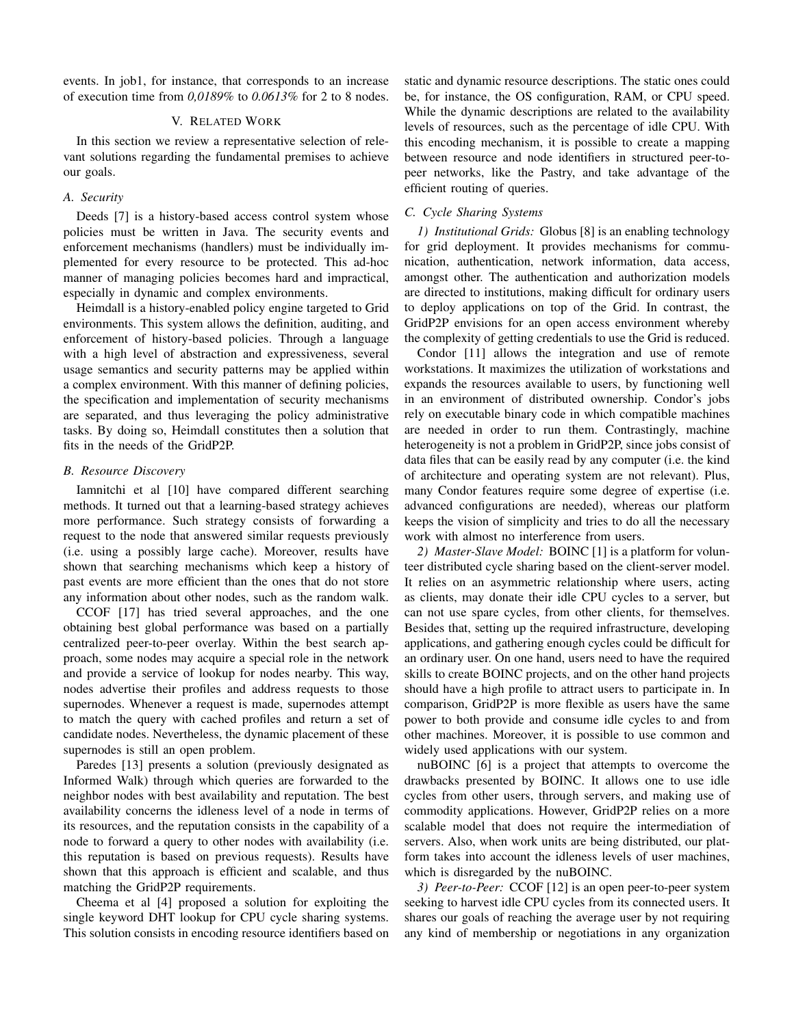events. In job1, for instance, that corresponds to an increase of execution time from *0,0189%* to *0.0613%* for 2 to 8 nodes.

# V. RELATED WORK

In this section we review a representative selection of relevant solutions regarding the fundamental premises to achieve our goals.

# *A. Security*

Deeds [7] is a history-based access control system whose policies must be written in Java. The security events and enforcement mechanisms (handlers) must be individually implemented for every resource to be protected. This ad-hoc manner of managing policies becomes hard and impractical, especially in dynamic and complex environments.

Heimdall is a history-enabled policy engine targeted to Grid environments. This system allows the definition, auditing, and enforcement of history-based policies. Through a language with a high level of abstraction and expressiveness, several usage semantics and security patterns may be applied within a complex environment. With this manner of defining policies, the specification and implementation of security mechanisms are separated, and thus leveraging the policy administrative tasks. By doing so, Heimdall constitutes then a solution that fits in the needs of the GridP2P.

# *B. Resource Discovery*

Iamnitchi et al [10] have compared different searching methods. It turned out that a learning-based strategy achieves more performance. Such strategy consists of forwarding a request to the node that answered similar requests previously (i.e. using a possibly large cache). Moreover, results have shown that searching mechanisms which keep a history of past events are more efficient than the ones that do not store any information about other nodes, such as the random walk.

CCOF [17] has tried several approaches, and the one obtaining best global performance was based on a partially centralized peer-to-peer overlay. Within the best search approach, some nodes may acquire a special role in the network and provide a service of lookup for nodes nearby. This way, nodes advertise their profiles and address requests to those supernodes. Whenever a request is made, supernodes attempt to match the query with cached profiles and return a set of candidate nodes. Nevertheless, the dynamic placement of these supernodes is still an open problem.

Paredes [13] presents a solution (previously designated as Informed Walk) through which queries are forwarded to the neighbor nodes with best availability and reputation. The best availability concerns the idleness level of a node in terms of its resources, and the reputation consists in the capability of a node to forward a query to other nodes with availability (i.e. this reputation is based on previous requests). Results have shown that this approach is efficient and scalable, and thus matching the GridP2P requirements.

Cheema et al [4] proposed a solution for exploiting the single keyword DHT lookup for CPU cycle sharing systems. This solution consists in encoding resource identifiers based on static and dynamic resource descriptions. The static ones could be, for instance, the OS configuration, RAM, or CPU speed. While the dynamic descriptions are related to the availability levels of resources, such as the percentage of idle CPU. With this encoding mechanism, it is possible to create a mapping between resource and node identifiers in structured peer-topeer networks, like the Pastry, and take advantage of the efficient routing of queries.

# *C. Cycle Sharing Systems*

*1) Institutional Grids:* Globus [8] is an enabling technology for grid deployment. It provides mechanisms for communication, authentication, network information, data access, amongst other. The authentication and authorization models are directed to institutions, making difficult for ordinary users to deploy applications on top of the Grid. In contrast, the GridP2P envisions for an open access environment whereby the complexity of getting credentials to use the Grid is reduced.

Condor [11] allows the integration and use of remote workstations. It maximizes the utilization of workstations and expands the resources available to users, by functioning well in an environment of distributed ownership. Condor's jobs rely on executable binary code in which compatible machines are needed in order to run them. Contrastingly, machine heterogeneity is not a problem in GridP2P, since jobs consist of data files that can be easily read by any computer (i.e. the kind of architecture and operating system are not relevant). Plus, many Condor features require some degree of expertise (i.e. advanced configurations are needed), whereas our platform keeps the vision of simplicity and tries to do all the necessary work with almost no interference from users.

*2) Master-Slave Model:* BOINC [1] is a platform for volunteer distributed cycle sharing based on the client-server model. It relies on an asymmetric relationship where users, acting as clients, may donate their idle CPU cycles to a server, but can not use spare cycles, from other clients, for themselves. Besides that, setting up the required infrastructure, developing applications, and gathering enough cycles could be difficult for an ordinary user. On one hand, users need to have the required skills to create BOINC projects, and on the other hand projects should have a high profile to attract users to participate in. In comparison, GridP2P is more flexible as users have the same power to both provide and consume idle cycles to and from other machines. Moreover, it is possible to use common and widely used applications with our system.

nuBOINC [6] is a project that attempts to overcome the drawbacks presented by BOINC. It allows one to use idle cycles from other users, through servers, and making use of commodity applications. However, GridP2P relies on a more scalable model that does not require the intermediation of servers. Also, when work units are being distributed, our platform takes into account the idleness levels of user machines, which is disregarded by the nuBOINC.

*3) Peer-to-Peer:* CCOF [12] is an open peer-to-peer system seeking to harvest idle CPU cycles from its connected users. It shares our goals of reaching the average user by not requiring any kind of membership or negotiations in any organization